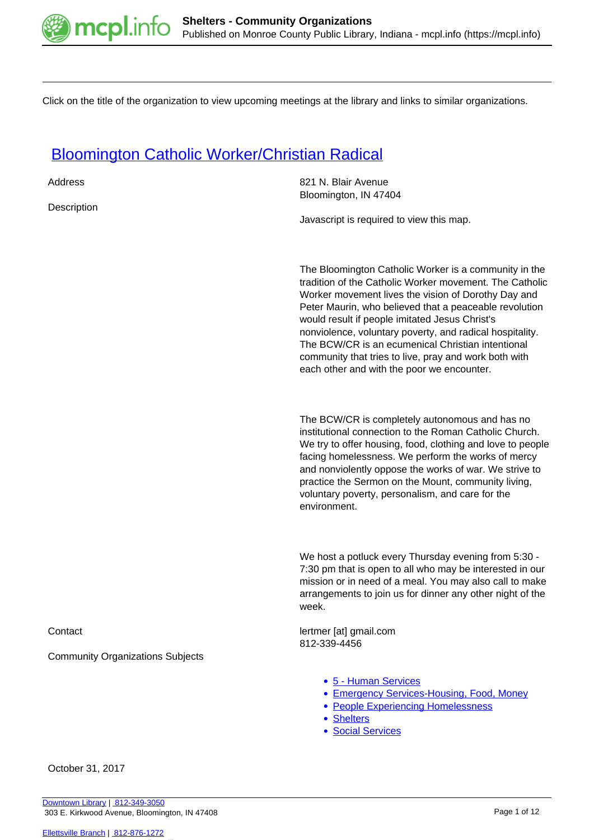

Click on the title of the organization to view upcoming meetings at the library and links to similar organizations.

### [Bloomington Catholic Worker/Christian Radical](https://mcpl.info/commorg/bloomington-catholic-workerchristian-radical)

| Address                                 | 821 N. Blair Avenue<br>Bloomington, IN 47404                                                                                                                                                                                                                                                                                                                                                                                                                                                                |
|-----------------------------------------|-------------------------------------------------------------------------------------------------------------------------------------------------------------------------------------------------------------------------------------------------------------------------------------------------------------------------------------------------------------------------------------------------------------------------------------------------------------------------------------------------------------|
| Description                             | Javascript is required to view this map.                                                                                                                                                                                                                                                                                                                                                                                                                                                                    |
|                                         |                                                                                                                                                                                                                                                                                                                                                                                                                                                                                                             |
|                                         | The Bloomington Catholic Worker is a community in the<br>tradition of the Catholic Worker movement. The Catholic<br>Worker movement lives the vision of Dorothy Day and<br>Peter Maurin, who believed that a peaceable revolution<br>would result if people imitated Jesus Christ's<br>nonviolence, voluntary poverty, and radical hospitality.<br>The BCW/CR is an ecumenical Christian intentional<br>community that tries to live, pray and work both with<br>each other and with the poor we encounter. |
|                                         | The BCW/CR is completely autonomous and has no<br>institutional connection to the Roman Catholic Church.<br>We try to offer housing, food, clothing and love to people<br>facing homelessness. We perform the works of mercy<br>and nonviolently oppose the works of war. We strive to<br>practice the Sermon on the Mount, community living,<br>voluntary poverty, personalism, and care for the<br>environment.                                                                                           |
|                                         | We host a potluck every Thursday evening from 5:30 -<br>7:30 pm that is open to all who may be interested in our<br>mission or in need of a meal. You may also call to make<br>arrangements to join us for dinner any other night of the<br>week.                                                                                                                                                                                                                                                           |
| Contact                                 | lertmer [at] gmail.com<br>812-339-4456                                                                                                                                                                                                                                                                                                                                                                                                                                                                      |
| <b>Community Organizations Subjects</b> |                                                                                                                                                                                                                                                                                                                                                                                                                                                                                                             |
|                                         | • 5 - Human Services<br>• Emergency Services-Housing, Food, Money<br>• People Experiencing Homelessness<br>• Shelters<br>• Social Services                                                                                                                                                                                                                                                                                                                                                                  |

October 31, 2017

[Downtown Library](https://mcpl.info/geninfo/downtown-library) | [812-349-3050](tel:812-349-3050) 303 E. Kirkwood Avenue, Bloomington, IN 47408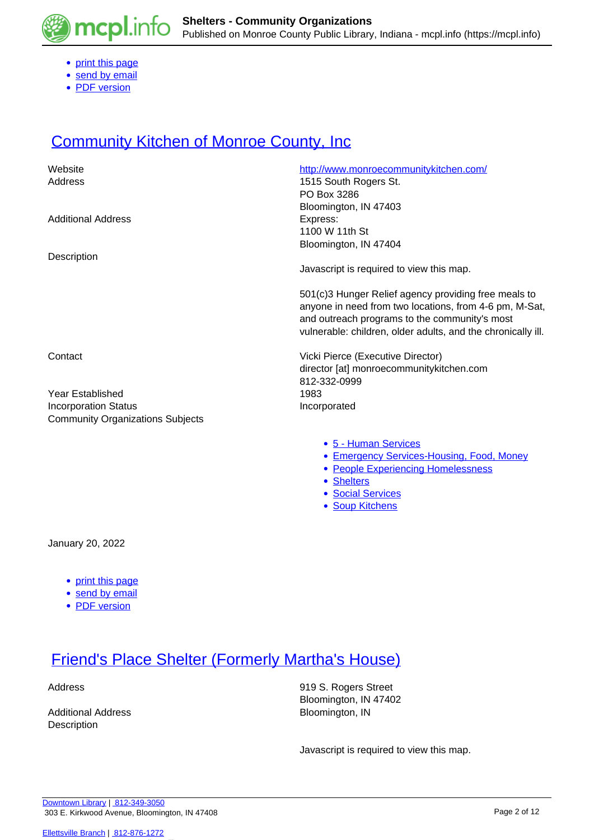

- [print this page](https://mcpl.info/print/commorg/bloomington-catholic-workerchristian-radical)
- [send by email](https://mcpl.info/printmail/commorg/bloomington-catholic-workerchristian-radical)
- [PDF version](https://mcpl.info/printpdf/commorg/bloomington-catholic-workerchristian-radical)

## **[Community Kitchen of Monroe County, Inc](https://mcpl.info/commorg/community-kitchen-monroe-county-inc).**

| Website                                 | http://www.monroecommunitykitchen.com/                                                                                                                                                                                          |
|-----------------------------------------|---------------------------------------------------------------------------------------------------------------------------------------------------------------------------------------------------------------------------------|
| Address                                 | 1515 South Rogers St.                                                                                                                                                                                                           |
|                                         | PO Box 3286                                                                                                                                                                                                                     |
|                                         | Bloomington, IN 47403                                                                                                                                                                                                           |
| <b>Additional Address</b>               | Express:                                                                                                                                                                                                                        |
|                                         | 1100 W 11th St                                                                                                                                                                                                                  |
|                                         | Bloomington, IN 47404                                                                                                                                                                                                           |
| Description                             |                                                                                                                                                                                                                                 |
|                                         | Javascript is required to view this map.                                                                                                                                                                                        |
|                                         | 501(c)3 Hunger Relief agency providing free meals to<br>anyone in need from two locations, from 4-6 pm, M-Sat,<br>and outreach programs to the community's most<br>vulnerable: children, older adults, and the chronically ill. |
| Contact                                 | Vicki Pierce (Executive Director)                                                                                                                                                                                               |
|                                         | director [at] monroecommunitykitchen.com                                                                                                                                                                                        |
|                                         | 812-332-0999                                                                                                                                                                                                                    |
| Year Established                        | 1983                                                                                                                                                                                                                            |
| <b>Incorporation Status</b>             | Incorporated                                                                                                                                                                                                                    |
| <b>Community Organizations Subjects</b> |                                                                                                                                                                                                                                 |
|                                         |                                                                                                                                                                                                                                 |
|                                         | • 5 - Human Services                                                                                                                                                                                                            |
|                                         | <b>Emergency Services-Housing, Food, Money</b><br>٠                                                                                                                                                                             |
|                                         | • People Experiencing Homelessness                                                                                                                                                                                              |
|                                         |                                                                                                                                                                                                                                 |

- [Shelters](https://mcpl.info/taxonomy/term/25125)
- [Social Services](https://mcpl.info/taxonomy/term/25126)
- [Soup Kitchens](https://mcpl.info/taxonomy/term/25127)

January 20, 2022

- [print this page](https://mcpl.info/print/commorg/community-kitchen-monroe-county-inc)
- [send by email](https://mcpl.info/printmail/commorg/community-kitchen-monroe-county-inc)
- [PDF version](https://mcpl.info/printpdf/commorg/community-kitchen-monroe-county-inc)

### **[Friend's Place Shelter \(Formerly Martha's House\)](https://mcpl.info/commorg/marthas-house)**

| Additional Address |  |
|--------------------|--|
| Description        |  |

Address 319 S. Rogers Street Bloomington, IN 47402 Bloomington, IN

Javascript is required to view this map.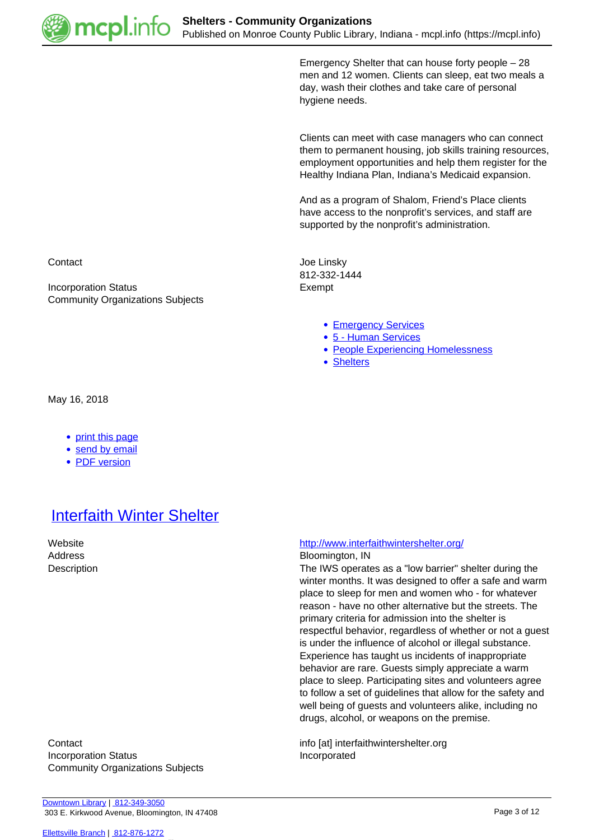

Emergency Shelter that can house forty people – 28 men and 12 women. Clients can sleep, eat two meals a day, wash their clothes and take care of personal hygiene needs.

Clients can meet with case managers who can connect them to permanent housing, job skills training resources, employment opportunities and help them register for the Healthy Indiana Plan, Indiana's Medicaid expansion.

And as a program of Shalom, Friend's Place clients have access to the nonprofit's services, and staff are supported by the nonprofit's administration.

Contact **Contact** Contact **Joe Linsky** 812-332-1444

- **[Emergency Services](https://mcpl.info/taxonomy/term/25075)**
- [5 Human Services](https://mcpl.info/community-organization-subjects/5-human-services)
- [People Experiencing Homelessness](https://mcpl.info/taxonomy/term/25109)
- [Shelters](https://mcpl.info/taxonomy/term/25125)

Incorporation Status **Exempt** Community Organizations Subjects

May 16, 2018

- [print this page](https://mcpl.info/print/commorg/marthas-house)
- [send by email](https://mcpl.info/printmail/commorg/marthas-house)
- [PDF version](https://mcpl.info/printpdf/commorg/marthas-house)

### **[Interfaith Winter Shelter](https://mcpl.info/commorg/interfaith-winter-shelter)**

Website <http://www.interfaithwintershelter.org/>

#### Address Bloomington, IN

Description The IWS operates as a "low barrier" shelter during the winter months. It was designed to offer a safe and warm place to sleep for men and women who - for whatever reason - have no other alternative but the streets. The primary criteria for admission into the shelter is respectful behavior, regardless of whether or not a guest is under the influence of alcohol or illegal substance. Experience has taught us incidents of inappropriate behavior are rare. Guests simply appreciate a warm place to sleep. Participating sites and volunteers agree to follow a set of guidelines that allow for the safety and well being of guests and volunteers alike, including no drugs, alcohol, or weapons on the premise.

Contact info [at] interfaithwintershelter.org Incorporation Status **Incorporated** Community Organizations Subjects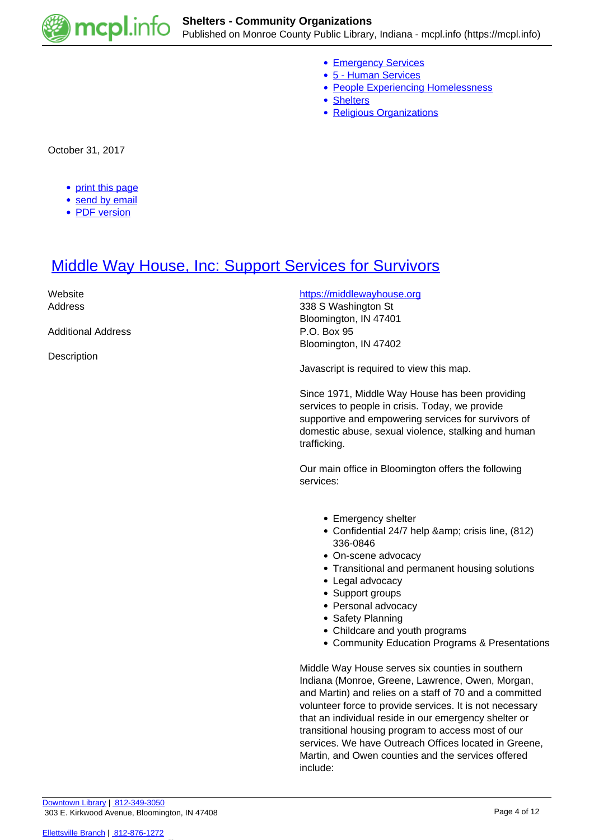

- [Emergency Services](https://mcpl.info/taxonomy/term/25075)
- [5 Human Services](https://mcpl.info/community-organization-subjects/5-human-services)
- [People Experiencing Homelessness](https://mcpl.info/taxonomy/term/25109)
- [Shelters](https://mcpl.info/taxonomy/term/25125)
- [Religious Organizations](https://mcpl.info/community-organization-subjects/religious-organizations)

October 31, 2017

- [print this page](https://mcpl.info/print/commorg/interfaith-winter-shelter)
- **[send by email](https://mcpl.info/printmail/commorg/interfaith-winter-shelter)**
- [PDF version](https://mcpl.info/printpdf/commorg/interfaith-winter-shelter)

### [Middle Way House, Inc: Support Services for Survivors](https://mcpl.info/commorg/middle-way-house-inc-shelter-abused-women-and-their-children)

Website **Mediate Mediate <https://middlewayhouse.org> https://middlewayhouse.org** Address 338 S Washington St Bloomington, IN 47401 Additional Address **P.O. Box 95** Bloomington, IN 47402 **Description** Javascript is required to view this map.

> Since 1971, Middle Way House has been providing services to people in crisis. Today, we provide supportive and empowering services for survivors of domestic abuse, sexual violence, stalking and human trafficking.

Our main office in Bloomington offers the following services:

- Emergency shelter
- Confidential 24/7 help & amp; crisis line, (812) 336-0846
- On-scene advocacy
- Transitional and permanent housing solutions
- Legal advocacy
- Support groups
- Personal advocacy
- Safety Planning
- Childcare and youth programs
- Community Education Programs & Presentations

Middle Way House serves six counties in southern Indiana (Monroe, Greene, Lawrence, Owen, Morgan, and Martin) and relies on a staff of 70 and a committed volunteer force to provide services. It is not necessary that an individual reside in our emergency shelter or transitional housing program to access most of our services. We have Outreach Offices located in Greene, Martin, and Owen counties and the services offered include: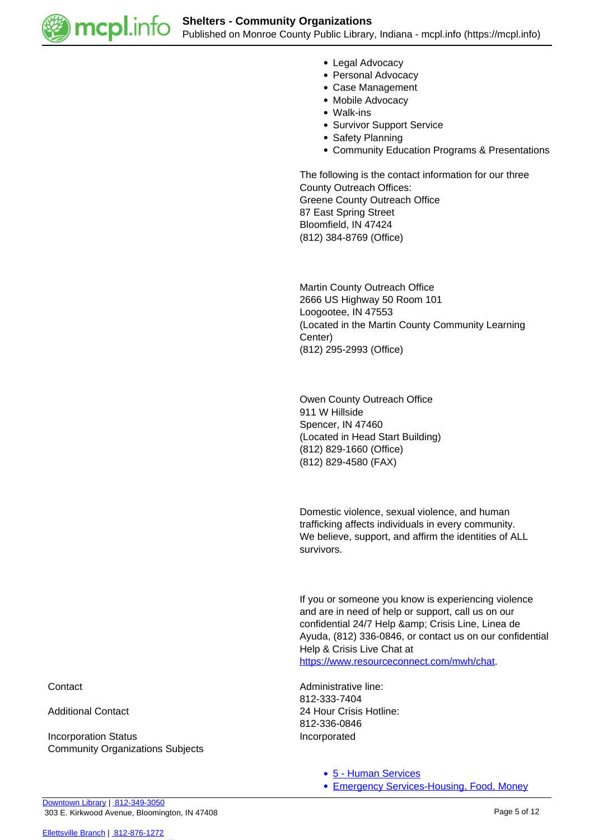

- Legal Advocacy
- Personal Advocacy
- Case Management
- Mobile Advocacy
- Walk-ins
- Survivor Support Service
- Safety Planning
- Community Education Programs & Presentations

The following is the contact information for our three County Outreach Offices: Greene County Outreach Office 87 East Spring Street Bloomfield, IN 47424 (812) 384-8769 (Office)

Martin County Outreach Office 2666 US Highway 50 Room 101 Loogootee, IN 47553 (Located in the Martin County Community Learning Center) (812) 295-2993 (Office)

Owen County Outreach Office 911 W Hillside Spencer, IN 47460 (Located in Head Start Building) (812) 829-1660 (Office) (812) 829-4580 (FAX)

Domestic violence, sexual violence, and human trafficking affects individuals in every community. We believe, support, and affirm the identities of ALL survivors.

If you or someone you know is experiencing violence and are in need of help or support, call us on our confidential 24/7 Help & amp; Crisis Line, Linea de Ayuda, (812) 336-0846, or contact us on our confidential Help & Crisis Live Chat at <https://www.resourceconnect.com/mwh/chat>.

Contact Contact Contact Contact Administrative line: 812-333-7404 Additional Contact 24 Hour Crisis Hotline: 812-336-0846

[5 - Human Services](https://mcpl.info/community-organization-subjects/5-human-services)

[Emergency Services-Housing, Food, Money](https://mcpl.info/taxonomy/term/25103)

Incorporation Status **Incorporated** Community Organizations Subjects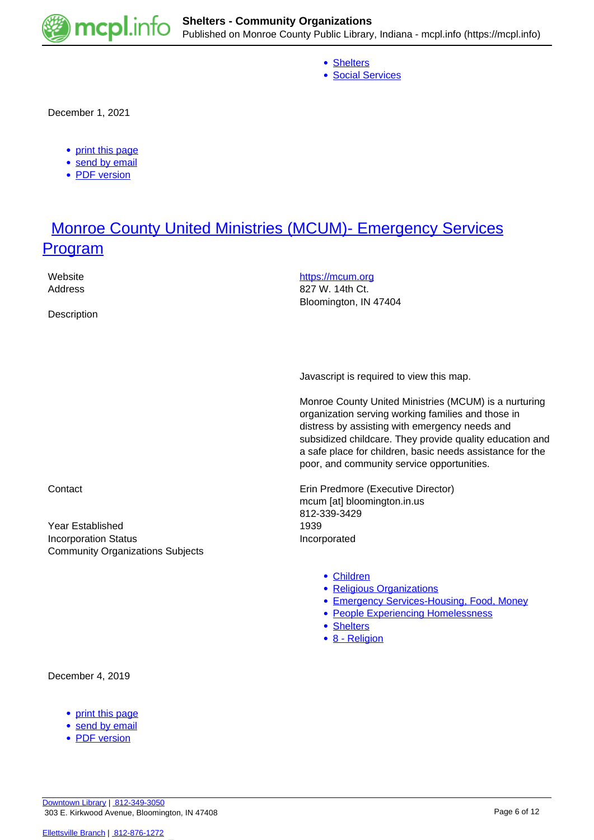

- [Shelters](https://mcpl.info/taxonomy/term/25125)
- [Social Services](https://mcpl.info/taxonomy/term/25126)

December 1, 2021

- [print this page](https://mcpl.info/print/commorg/middle-way-house-inc-shelter-abused-women-and-their-children)
- [send by email](https://mcpl.info/printmail/commorg/middle-way-house-inc-shelter-abused-women-and-their-children)
- [PDF version](https://mcpl.info/printpdf/commorg/middle-way-house-inc-shelter-abused-women-and-their-children)

### **[Monroe County United Ministries \(MCUM\)- Emergency Services](https://mcpl.info/commorg/monroe-county-united-ministries-mcum-emergency-services-program) [Program](https://mcpl.info/commorg/monroe-county-united-ministries-mcum-emergency-services-program)**

Website <https://mcum.org>/ Address 827 W. 14th Ct. Bloomington, IN 47404 **Description** 

Javascript is required to view this map.

Monroe County United Ministries (MCUM) is a nurturing organization serving working families and those in distress by assisting with emergency needs and subsidized childcare. They provide quality education and a safe place for children, basic needs assistance for the poor, and community service opportunities.

Contact **Executive Director** Erin Predmore (Executive Director) mcum [at] bloomington.in.us 812-339-3429

- [Children](https://mcpl.info/taxonomy/term/24959)
- [Religious Organizations](https://mcpl.info/community-organization-subjects/religious-organizations)
- [Emergency Services-Housing, Food, Money](https://mcpl.info/taxonomy/term/25103)
- [People Experiencing Homelessness](https://mcpl.info/taxonomy/term/25109)
- [Shelters](https://mcpl.info/taxonomy/term/25125)
- [8 Religion](https://mcpl.info/taxonomy/term/24953)

Year Established 1939 Incorporation Status **Incorporated** Community Organizations Subjects

#### December 4, 2019

- [print this page](https://mcpl.info/print/commorg/monroe-county-united-ministries-mcum-emergency-services-program)
- [send by email](https://mcpl.info/printmail/commorg/monroe-county-united-ministries-mcum-emergency-services-program)
- [PDF version](https://mcpl.info/printpdf/commorg/monroe-county-united-ministries-mcum-emergency-services-program)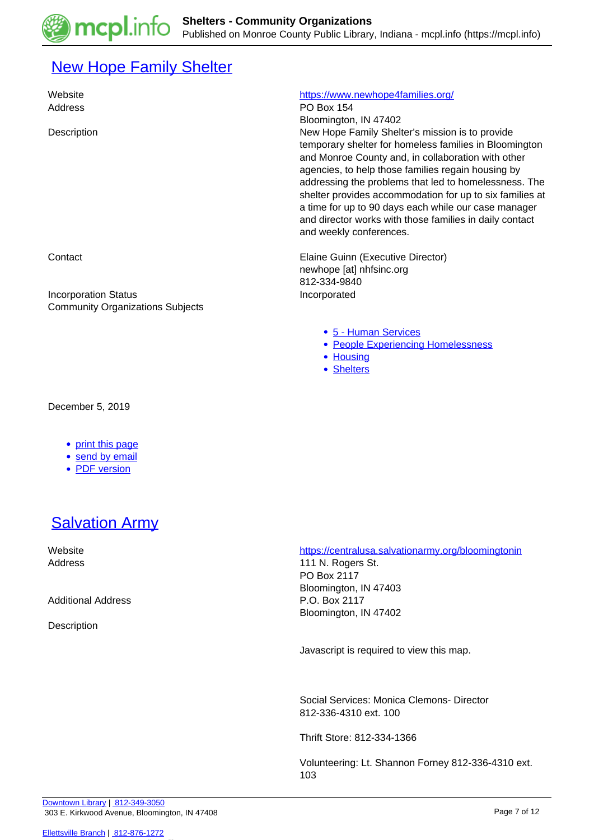# **[New Hope Family Shelter](https://mcpl.info/commorg/new-hope-family-shelter)**

Address **PO Box 154** 

Incorporation Status Incorporated Community Organizations Subjects

### Website <https://www.newhope4families.org/>

Bloomington, IN 47402 Description New Hope Family Shelter's mission is to provide temporary shelter for homeless families in Bloomington and Monroe County and, in collaboration with other agencies, to help those families regain housing by addressing the problems that led to homelessness. The shelter provides accommodation for up to six families at a time for up to 90 days each while our case manager and director works with those families in daily contact and weekly conferences.

**Contact Elaine Guinn (Executive Director) Elaine Guinn (Executive Director)** newhope [at] nhfsinc.org 812-334-9840

- [5 Human Services](https://mcpl.info/community-organization-subjects/5-human-services)
- [People Experiencing Homelessness](https://mcpl.info/taxonomy/term/25109)
- [Housing](https://mcpl.info/taxonomy/term/25111)
- [Shelters](https://mcpl.info/taxonomy/term/25125)

December 5, 2019

- [print this page](https://mcpl.info/print/commorg/new-hope-family-shelter)
- [send by email](https://mcpl.info/printmail/commorg/new-hope-family-shelter)
- [PDF version](https://mcpl.info/printpdf/commorg/new-hope-family-shelter)

## **[Salvation Army](https://mcpl.info/commorg/salvation-army)**

Additional Address **P.O. Box 2117** 

**Description** 

 Website <https://centralusa.salvationarmy.org/bloomingtonin> Address 111 N. Rogers St. PO Box 2117 Bloomington, IN 47403 Bloomington, IN 47402

Javascript is required to view this map.

Social Services: Monica Clemons- Director 812-336-4310 ext. 100

Thrift Store: 812-334-1366

Volunteering: Lt. Shannon Forney 812-336-4310 ext. 103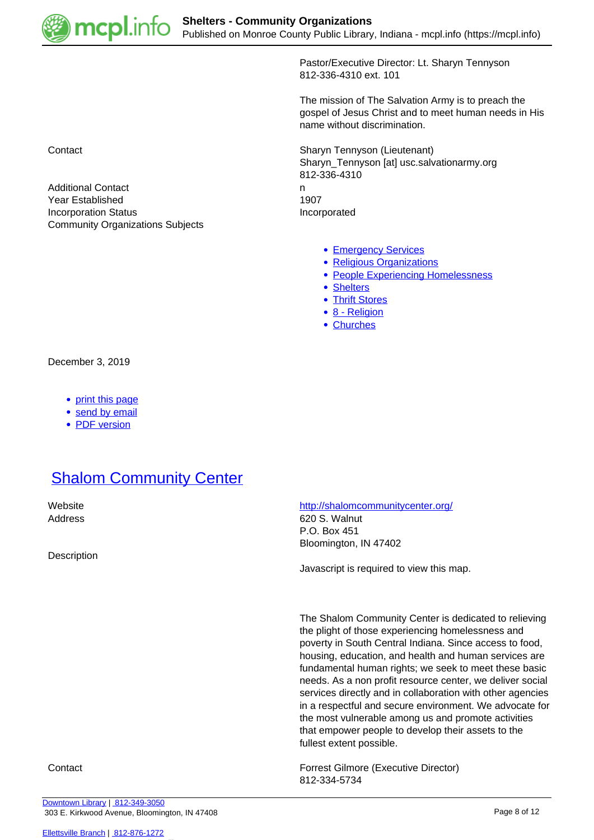

Pastor/Executive Director: Lt. Sharyn Tennyson 812-336-4310 ext. 101

The mission of The Salvation Army is to preach the gospel of Jesus Christ and to meet human needs in His name without discrimination.

Contact Sharyn Tennyson (Lieutenant) Sharyn\_Tennyson [at] usc.salvationarmy.org 812-336-4310 Additional Contact newspaper and the contact newspaper and the contact newspaper and the contact newspaper and the contact newspaper and the contact newspaper and the contact newspaper and the contact newspaper and the con Year Established 1907 Incorporation Status **Incorporated** 

- [Emergency Services](https://mcpl.info/taxonomy/term/25075)
- [Religious Organizations](https://mcpl.info/community-organization-subjects/religious-organizations)
- [People Experiencing Homelessness](https://mcpl.info/taxonomy/term/25109)
- [Shelters](https://mcpl.info/taxonomy/term/25125)
- [Thrift Stores](https://mcpl.info/taxonomy/term/25129)
- [8 Religion](https://mcpl.info/taxonomy/term/24953)
- [Churches](https://mcpl.info/taxonomy/term/25137)

December 3, 2019

• [print this page](https://mcpl.info/print/commorg/salvation-army)

Community Organizations Subjects

- [send by email](https://mcpl.info/printmail/commorg/salvation-army)
- [PDF version](https://mcpl.info/printpdf/commorg/salvation-army)

### **[Shalom Community Center](https://mcpl.info/commorg/shalom-community-center)**

**Description** 

Website <http://shalomcommunitycenter.org/>

Address 620 S. Walnut P.O. Box 451 Bloomington, IN 47402

Javascript is required to view this map.

The Shalom Community Center is dedicated to relieving the plight of those experiencing homelessness and poverty in South Central Indiana. Since access to food, housing, education, and health and human services are fundamental human rights; we seek to meet these basic needs. As a non profit resource center, we deliver social services directly and in collaboration with other agencies in a respectful and secure environment. We advocate for the most vulnerable among us and promote activities that empower people to develop their assets to the fullest extent possible.

Contact Forrest Gilmore (Executive Director) 812-334-5734

[Downtown Library](https://mcpl.info/geninfo/downtown-library) | [812-349-3050](tel:812-349-3050) 303 E. Kirkwood Avenue, Bloomington, IN 47408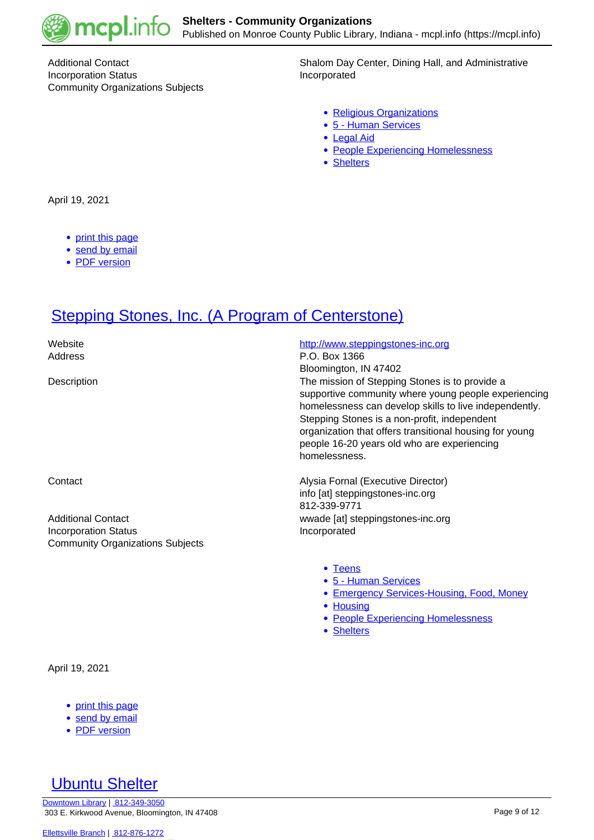

Incorporation Status **Incorporated** Community Organizations Subjects

Additional Contact **Shalom Day Center, Dining Hall, and Administrative** Shalom Day Center, Dining Hall, and Administrative

- [Religious Organizations](https://mcpl.info/community-organization-subjects/religious-organizations)
- [5 Human Services](https://mcpl.info/community-organization-subjects/5-human-services)
- [Legal Aid](https://mcpl.info/taxonomy/term/25114)
- [People Experiencing Homelessness](https://mcpl.info/taxonomy/term/25109)
- [Shelters](https://mcpl.info/taxonomy/term/25125)

April 19, 2021

- [print this page](https://mcpl.info/print/commorg/shalom-community-center)
- [send by email](https://mcpl.info/printmail/commorg/shalom-community-center)
- [PDF version](https://mcpl.info/printpdf/commorg/shalom-community-center)

### **[Stepping Stones, Inc. \(A Program of Centerstone\)](https://mcpl.info/commorg/stepping-stones-inc)**

Website **<http://www.steppingstones-inc.org>** Address P.O. Box 1366 Bloomington, IN 47402 Description The mission of Stepping Stones is to provide a supportive community where young people experiencing homelessness can develop skills to live independently. Stepping Stones is a non-profit, independent organization that offers transitional housing for young people 16-20 years old who are experiencing homelessness. Contact Alysia Fornal (Executive Director) info [at] steppingstones-inc.org 812-339-9771 Additional Contact **Additional Contact** and Contact **and Contact** wwade [at] steppingstones-inc.org Incorporation Status **Incorporated** Community Organizations Subjects

- [Teens](https://mcpl.info/community-organization-subjects/young-adults)
- [5 Human Services](https://mcpl.info/community-organization-subjects/5-human-services)
- **[Emergency Services-Housing, Food, Money](https://mcpl.info/taxonomy/term/25103)**
- [Housing](https://mcpl.info/taxonomy/term/25111)
- [People Experiencing Homelessness](https://mcpl.info/taxonomy/term/25109)
- [Shelters](https://mcpl.info/taxonomy/term/25125)

April 19, 2021

- [print this page](https://mcpl.info/print/commorg/stepping-stones-inc)
- [send by email](https://mcpl.info/printmail/commorg/stepping-stones-inc)
- [PDF version](https://mcpl.info/printpdf/commorg/stepping-stones-inc)

### [Ubuntu Shelter](https://mcpl.info/commorg/ubuntu-shelter)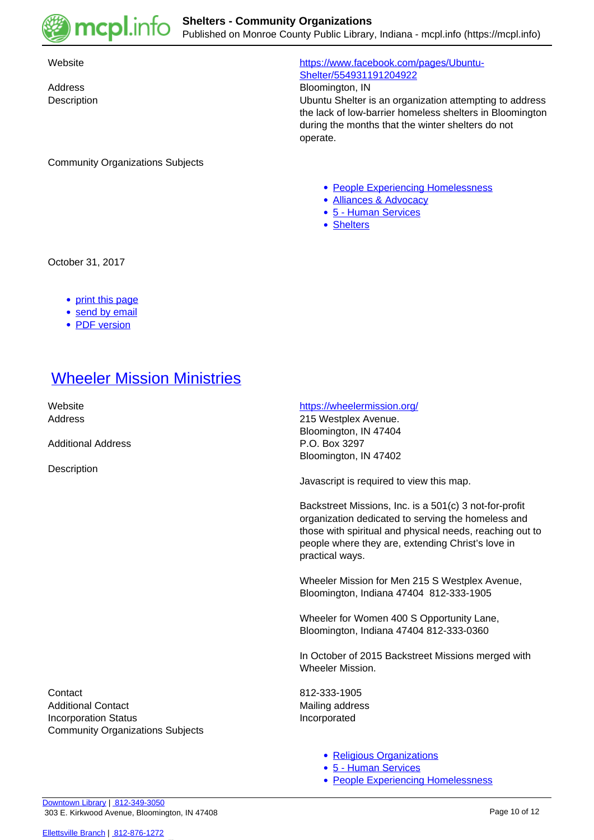

Community Organizations Subjects

### Website [https://www.facebook.com/pages/Ubuntu-](https://www.facebook.com/pages/Ubuntu-Shelter/554931191204922)[Shelter/554931191204922](https://www.facebook.com/pages/Ubuntu-Shelter/554931191204922)

Address Bloomington, IN

Description Ubuntu Shelter is an organization attempting to address the lack of low-barrier homeless shelters in Bloomington during the months that the winter shelters do not operate.

- [People Experiencing Homelessness](https://mcpl.info/taxonomy/term/25109)
- [Alliances & Advocacy](https://mcpl.info/community-organization-subjects/alliances-advocacy)
- [5 Human Services](https://mcpl.info/community-organization-subjects/5-human-services)
- [Shelters](https://mcpl.info/taxonomy/term/25125)

October 31, 2017

- [print this page](https://mcpl.info/print/commorg/ubuntu-shelter)
- [send by email](https://mcpl.info/printmail/commorg/ubuntu-shelter)
- [PDF version](https://mcpl.info/printpdf/commorg/ubuntu-shelter)

### [Wheeler Mission Ministries](https://mcpl.info/commorg/wheeler-mission-ministries)

Additional Address P.O. Box 3297

**Description** 

### Website **<https://wheelermission.org/>**

Address 215 Westplex Avenue. Bloomington, IN 47404 Bloomington, IN 47402

Javascript is required to view this map.

Backstreet Missions, Inc. is a 501(c) 3 not-for-profit organization dedicated to serving the homeless and those with spiritual and physical needs, reaching out to people where they are, extending Christ's love in practical ways.

Wheeler Mission for Men 215 S Westplex Avenue, Bloomington, Indiana 47404 812-333-1905

Wheeler for Women 400 S Opportunity Lane, Bloomington, Indiana 47404 812-333-0360

In October of 2015 Backstreet Missions merged with Wheeler Mission.

- [Religious Organizations](https://mcpl.info/community-organization-subjects/religious-organizations)
- [5 Human Services](https://mcpl.info/community-organization-subjects/5-human-services)
- [People Experiencing Homelessness](https://mcpl.info/taxonomy/term/25109)

Contact 812-333-1905 Additional Contact **Mailing address** Mailing address Incorporation Status **Incorporated** Community Organizations Subjects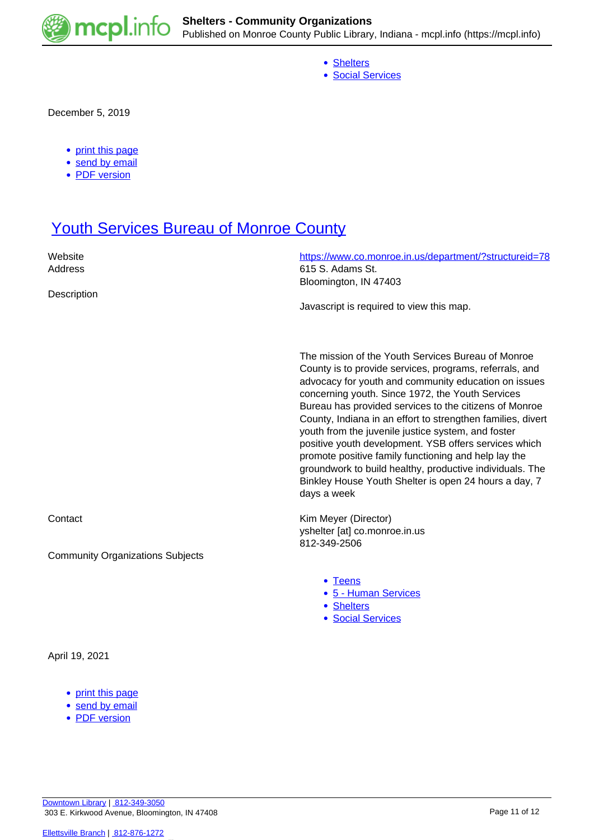

- [Shelters](https://mcpl.info/taxonomy/term/25125)
- [Social Services](https://mcpl.info/taxonomy/term/25126)

December 5, 2019

- [print this page](https://mcpl.info/print/commorg/wheeler-mission-ministries)
- [send by email](https://mcpl.info/printmail/commorg/wheeler-mission-ministries)
- [PDF version](https://mcpl.info/printpdf/commorg/wheeler-mission-ministries)

### **[Youth Services Bureau of Monroe County](https://mcpl.info/commorg/youth-services-bureau-monroe-county)**

| Website<br>Address                      | https://www.co.monroe.in.us/department/?structureid=78<br>615 S. Adams St.<br>Bloomington, IN 47403                                                                                                                                                                                                                                                                                                                                                                                                                                                                                                                                                           |
|-----------------------------------------|---------------------------------------------------------------------------------------------------------------------------------------------------------------------------------------------------------------------------------------------------------------------------------------------------------------------------------------------------------------------------------------------------------------------------------------------------------------------------------------------------------------------------------------------------------------------------------------------------------------------------------------------------------------|
| Description                             | Javascript is required to view this map.                                                                                                                                                                                                                                                                                                                                                                                                                                                                                                                                                                                                                      |
|                                         | The mission of the Youth Services Bureau of Monroe<br>County is to provide services, programs, referrals, and<br>advocacy for youth and community education on issues<br>concerning youth. Since 1972, the Youth Services<br>Bureau has provided services to the citizens of Monroe<br>County, Indiana in an effort to strengthen families, divert<br>youth from the juvenile justice system, and foster<br>positive youth development. YSB offers services which<br>promote positive family functioning and help lay the<br>groundwork to build healthy, productive individuals. The<br>Binkley House Youth Shelter is open 24 hours a day, 7<br>days a week |
| Contact                                 | Kim Meyer (Director)<br>yshelter [at] co.monroe.in.us<br>812-349-2506                                                                                                                                                                                                                                                                                                                                                                                                                                                                                                                                                                                         |
| <b>Community Organizations Subjects</b> |                                                                                                                                                                                                                                                                                                                                                                                                                                                                                                                                                                                                                                                               |
|                                         | • Teens<br>• 5 - Human Services<br>• Shelters<br>· Social Services                                                                                                                                                                                                                                                                                                                                                                                                                                                                                                                                                                                            |
| April 19, 2021                          |                                                                                                                                                                                                                                                                                                                                                                                                                                                                                                                                                                                                                                                               |
| print this page<br>• send by email      |                                                                                                                                                                                                                                                                                                                                                                                                                                                                                                                                                                                                                                                               |

• [PDF version](https://mcpl.info/printpdf/commorg/youth-services-bureau-monroe-county)